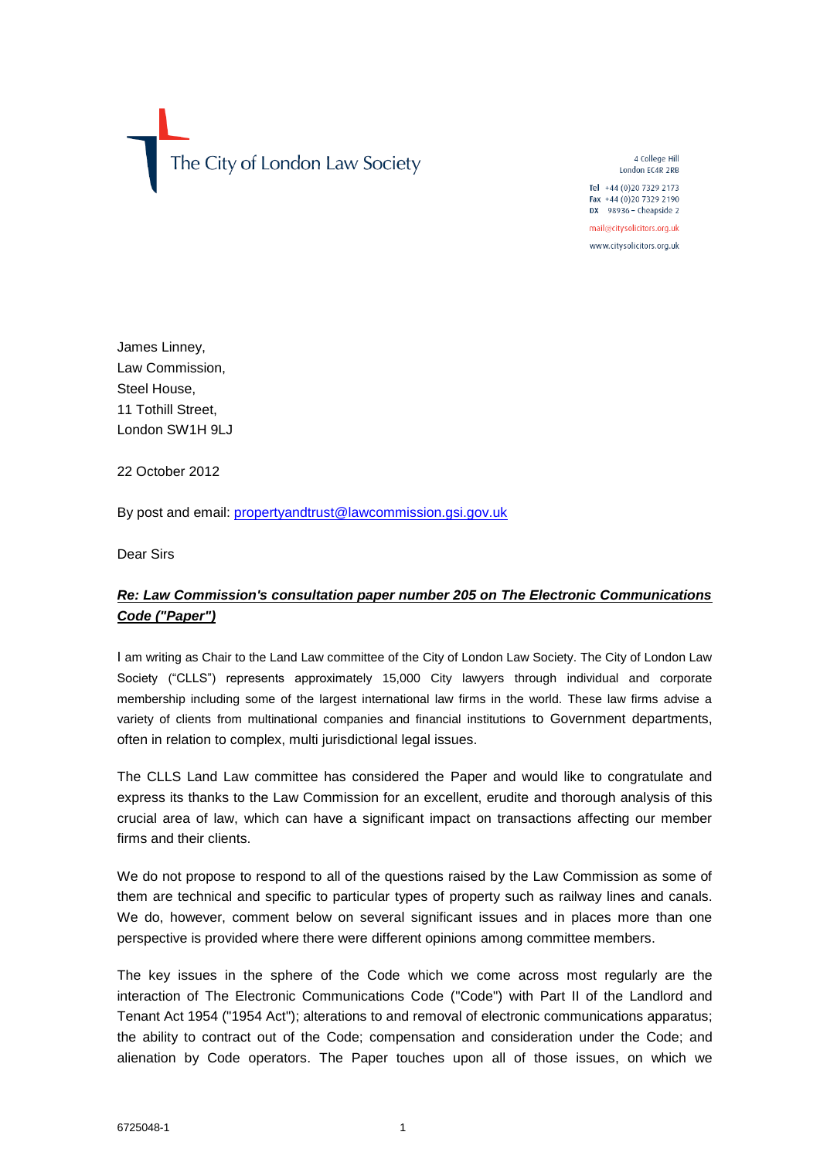The City of London Law Society

4 College Hill London EC4R 2RB

Tel  $+44(0)2073292173$ Fax +44 (0)20 7329 2190  $DX$  98936 - Cheapside 2

mail@citysolicitors.org.uk

www.citysolicitors.org.uk

James Linney, Law Commission, Steel House, 11 Tothill Street, London SW1H 9LJ

22 October 2012

By post and email: [propertyandtrust@lawcommission.gsi.gov.uk](mailto:propertyandtrust@lawcommission.gsi.gov.uk)

Dear Sirs

# *Re: Law Commission's consultation paper number 205 on The Electronic Communications Code ("Paper")*

I am writing as Chair to the Land Law committee of the City of London Law Society. The City of London Law Society ("CLLS") represents approximately 15,000 City lawyers through individual and corporate membership including some of the largest international law firms in the world. These law firms advise a variety of clients from multinational companies and financial institutions to Government departments, often in relation to complex, multi jurisdictional legal issues.

The CLLS Land Law committee has considered the Paper and would like to congratulate and express its thanks to the Law Commission for an excellent, erudite and thorough analysis of this crucial area of law, which can have a significant impact on transactions affecting our member firms and their clients.

We do not propose to respond to all of the questions raised by the Law Commission as some of them are technical and specific to particular types of property such as railway lines and canals. We do, however, comment below on several significant issues and in places more than one perspective is provided where there were different opinions among committee members.

The key issues in the sphere of the Code which we come across most regularly are the interaction of The Electronic Communications Code ("Code") with Part II of the Landlord and Tenant Act 1954 ("1954 Act"); alterations to and removal of electronic communications apparatus; the ability to contract out of the Code; compensation and consideration under the Code; and alienation by Code operators. The Paper touches upon all of those issues, on which we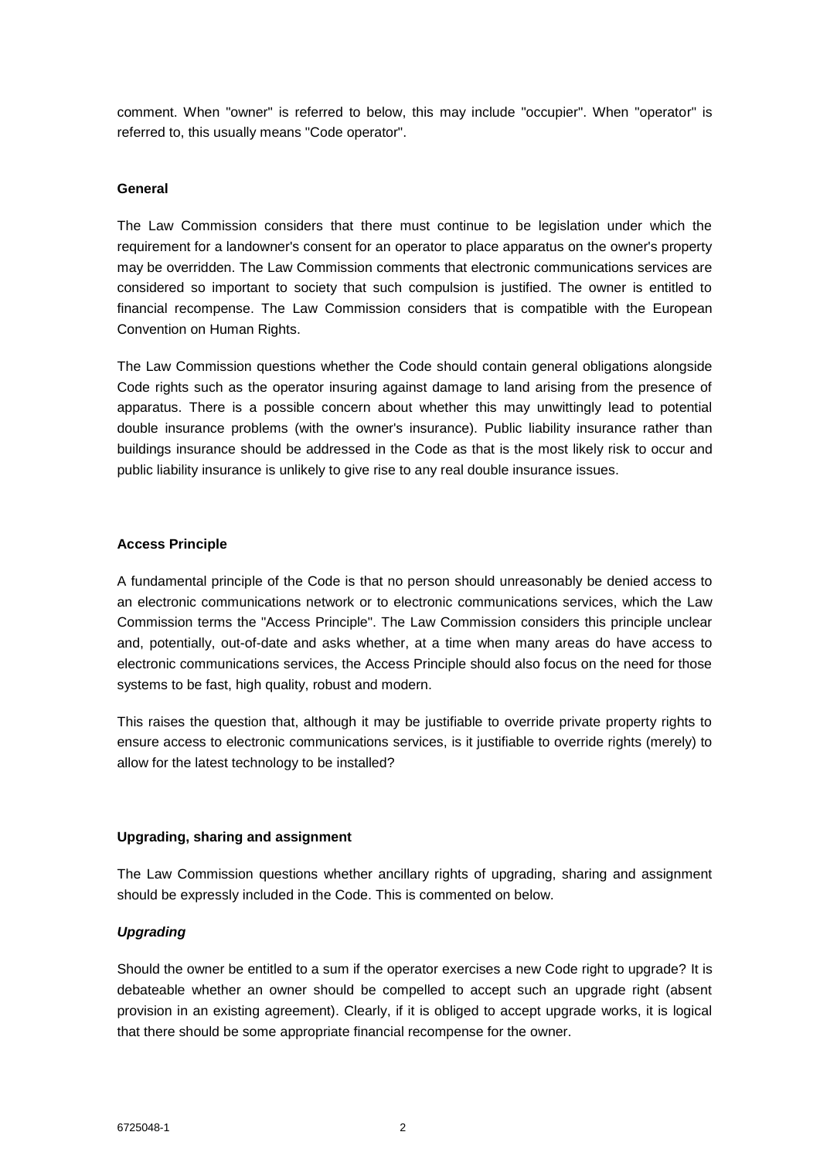comment. When "owner" is referred to below, this may include "occupier". When "operator" is referred to, this usually means "Code operator".

#### **General**

The Law Commission considers that there must continue to be legislation under which the requirement for a landowner's consent for an operator to place apparatus on the owner's property may be overridden. The Law Commission comments that electronic communications services are considered so important to society that such compulsion is justified. The owner is entitled to financial recompense. The Law Commission considers that is compatible with the European Convention on Human Rights.

The Law Commission questions whether the Code should contain general obligations alongside Code rights such as the operator insuring against damage to land arising from the presence of apparatus. There is a possible concern about whether this may unwittingly lead to potential double insurance problems (with the owner's insurance). Public liability insurance rather than buildings insurance should be addressed in the Code as that is the most likely risk to occur and public liability insurance is unlikely to give rise to any real double insurance issues.

#### **Access Principle**

A fundamental principle of the Code is that no person should unreasonably be denied access to an electronic communications network or to electronic communications services, which the Law Commission terms the "Access Principle". The Law Commission considers this principle unclear and, potentially, out-of-date and asks whether, at a time when many areas do have access to electronic communications services, the Access Principle should also focus on the need for those systems to be fast, high quality, robust and modern.

This raises the question that, although it may be justifiable to override private property rights to ensure access to electronic communications services, is it justifiable to override rights (merely) to allow for the latest technology to be installed?

# **Upgrading, sharing and assignment**

The Law Commission questions whether ancillary rights of upgrading, sharing and assignment should be expressly included in the Code. This is commented on below.

# *Upgrading*

Should the owner be entitled to a sum if the operator exercises a new Code right to upgrade? It is debateable whether an owner should be compelled to accept such an upgrade right (absent provision in an existing agreement). Clearly, if it is obliged to accept upgrade works, it is logical that there should be some appropriate financial recompense for the owner.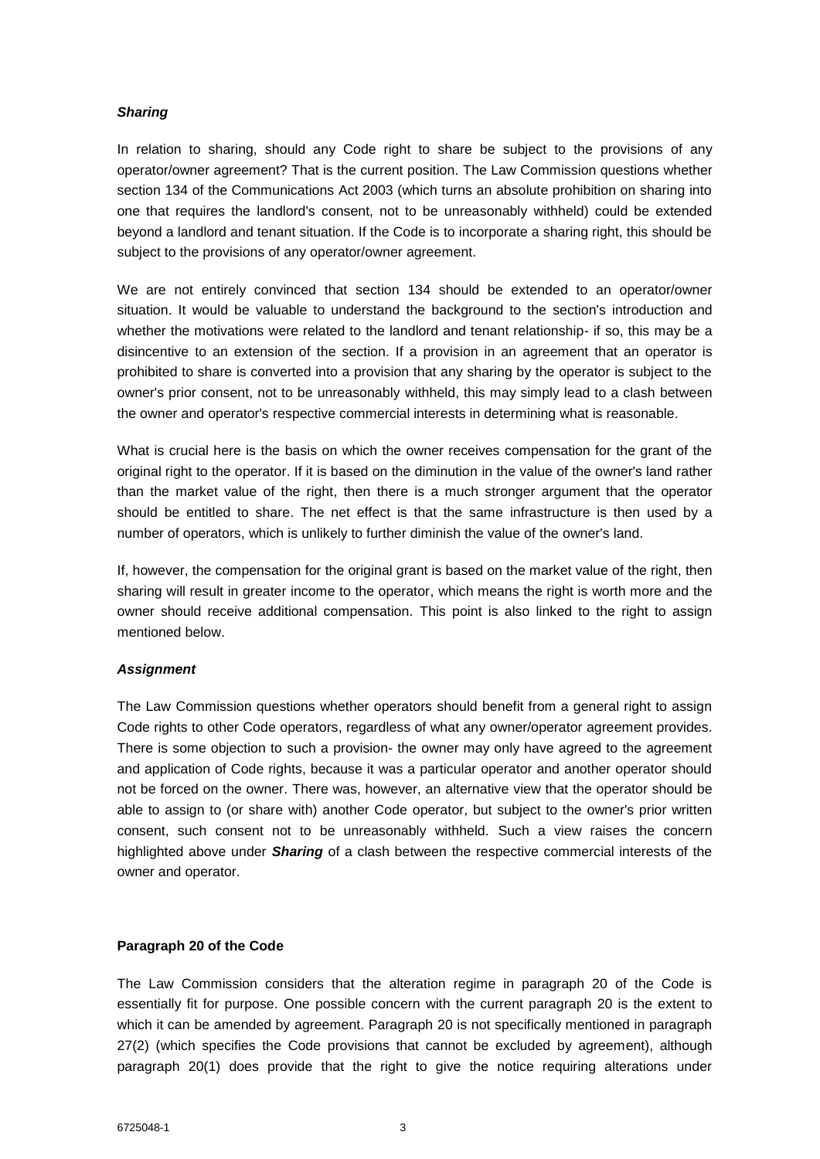# *Sharing*

In relation to sharing, should any Code right to share be subject to the provisions of any operator/owner agreement? That is the current position. The Law Commission questions whether section 134 of the Communications Act 2003 (which turns an absolute prohibition on sharing into one that requires the landlord's consent, not to be unreasonably withheld) could be extended beyond a landlord and tenant situation. If the Code is to incorporate a sharing right, this should be subject to the provisions of any operator/owner agreement.

We are not entirely convinced that section 134 should be extended to an operator/owner situation. It would be valuable to understand the background to the section's introduction and whether the motivations were related to the landlord and tenant relationship- if so, this may be a disincentive to an extension of the section. If a provision in an agreement that an operator is prohibited to share is converted into a provision that any sharing by the operator is subject to the owner's prior consent, not to be unreasonably withheld, this may simply lead to a clash between the owner and operator's respective commercial interests in determining what is reasonable.

What is crucial here is the basis on which the owner receives compensation for the grant of the original right to the operator. If it is based on the diminution in the value of the owner's land rather than the market value of the right, then there is a much stronger argument that the operator should be entitled to share. The net effect is that the same infrastructure is then used by a number of operators, which is unlikely to further diminish the value of the owner's land.

If, however, the compensation for the original grant is based on the market value of the right, then sharing will result in greater income to the operator, which means the right is worth more and the owner should receive additional compensation. This point is also linked to the right to assign mentioned below.

# *Assignment*

The Law Commission questions whether operators should benefit from a general right to assign Code rights to other Code operators, regardless of what any owner/operator agreement provides. There is some objection to such a provision- the owner may only have agreed to the agreement and application of Code rights, because it was a particular operator and another operator should not be forced on the owner. There was, however, an alternative view that the operator should be able to assign to (or share with) another Code operator, but subject to the owner's prior written consent, such consent not to be unreasonably withheld. Such a view raises the concern highlighted above under *Sharing* of a clash between the respective commercial interests of the owner and operator.

# **Paragraph 20 of the Code**

The Law Commission considers that the alteration regime in paragraph 20 of the Code is essentially fit for purpose. One possible concern with the current paragraph 20 is the extent to which it can be amended by agreement. Paragraph 20 is not specifically mentioned in paragraph 27(2) (which specifies the Code provisions that cannot be excluded by agreement), although paragraph 20(1) does provide that the right to give the notice requiring alterations under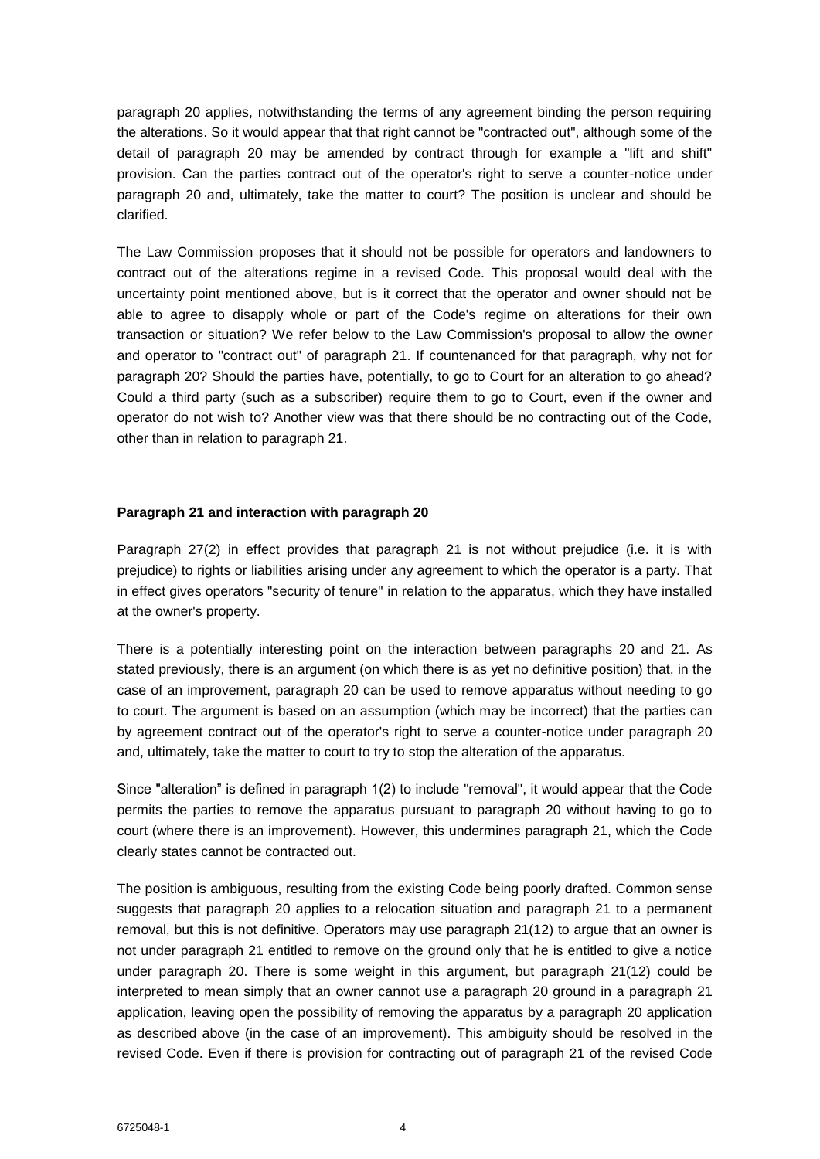paragraph 20 applies, notwithstanding the terms of any agreement binding the person requiring the alterations. So it would appear that that right cannot be "contracted out", although some of the detail of paragraph 20 may be amended by contract through for example a "lift and shift" provision. Can the parties contract out of the operator's right to serve a counter-notice under paragraph 20 and, ultimately, take the matter to court? The position is unclear and should be clarified.

The Law Commission proposes that it should not be possible for operators and landowners to contract out of the alterations regime in a revised Code. This proposal would deal with the uncertainty point mentioned above, but is it correct that the operator and owner should not be able to agree to disapply whole or part of the Code's regime on alterations for their own transaction or situation? We refer below to the Law Commission's proposal to allow the owner and operator to "contract out" of paragraph 21. If countenanced for that paragraph, why not for paragraph 20? Should the parties have, potentially, to go to Court for an alteration to go ahead? Could a third party (such as a subscriber) require them to go to Court, even if the owner and operator do not wish to? Another view was that there should be no contracting out of the Code, other than in relation to paragraph 21.

#### **Paragraph 21 and interaction with paragraph 20**

Paragraph 27(2) in effect provides that paragraph 21 is not without prejudice (i.e. it is with prejudice) to rights or liabilities arising under any agreement to which the operator is a party. That in effect gives operators "security of tenure" in relation to the apparatus, which they have installed at the owner's property.

There is a potentially interesting point on the interaction between paragraphs 20 and 21. As stated previously, there is an argument (on which there is as yet no definitive position) that, in the case of an improvement, paragraph 20 can be used to remove apparatus without needing to go to court. The argument is based on an assumption (which may be incorrect) that the parties can by agreement contract out of the operator's right to serve a counter-notice under paragraph 20 and, ultimately, take the matter to court to try to stop the alteration of the apparatus.

Since "alteration" is defined in paragraph 1(2) to include "removal", it would appear that the Code permits the parties to remove the apparatus pursuant to paragraph 20 without having to go to court (where there is an improvement). However, this undermines paragraph 21, which the Code clearly states cannot be contracted out.

The position is ambiguous, resulting from the existing Code being poorly drafted. Common sense suggests that paragraph 20 applies to a relocation situation and paragraph 21 to a permanent removal, but this is not definitive. Operators may use paragraph 21(12) to argue that an owner is not under paragraph 21 entitled to remove on the ground only that he is entitled to give a notice under paragraph 20. There is some weight in this argument, but paragraph 21(12) could be interpreted to mean simply that an owner cannot use a paragraph 20 ground in a paragraph 21 application, leaving open the possibility of removing the apparatus by a paragraph 20 application as described above (in the case of an improvement). This ambiguity should be resolved in the revised Code. Even if there is provision for contracting out of paragraph 21 of the revised Code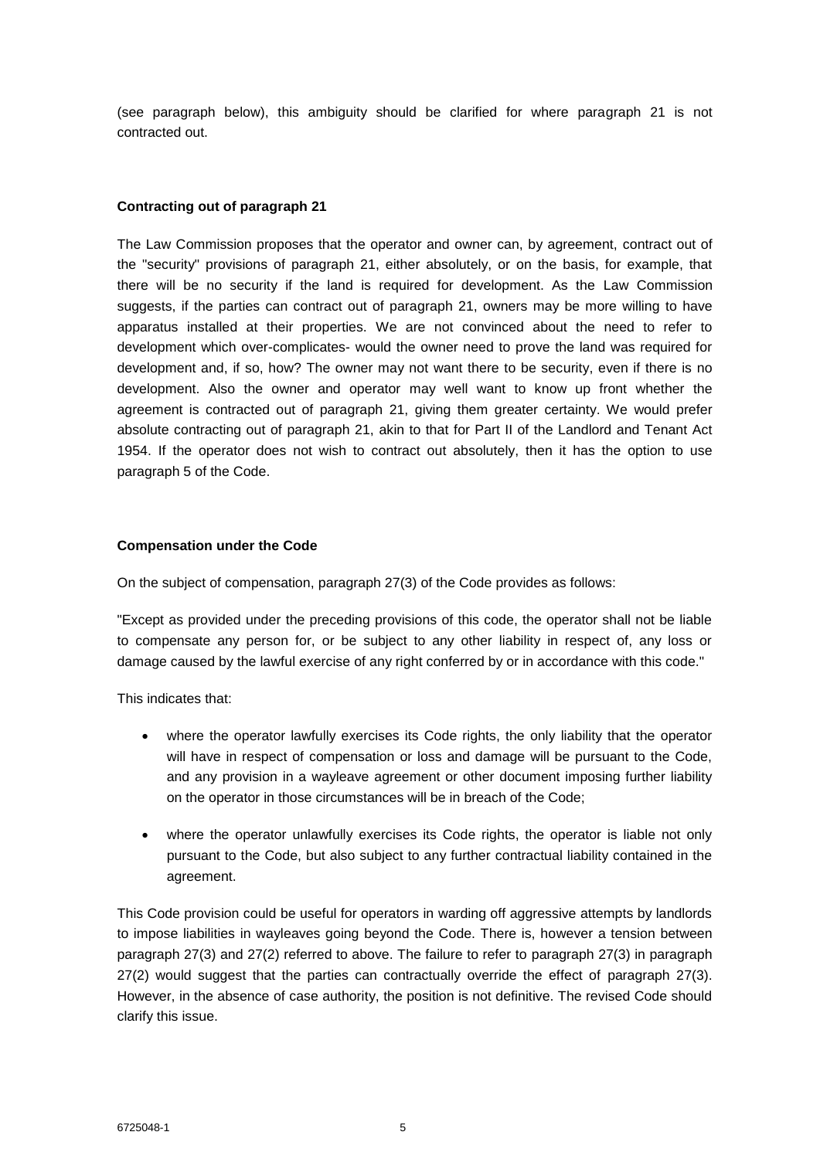(see paragraph below), this ambiguity should be clarified for where paragraph 21 is not contracted out.

# **Contracting out of paragraph 21**

The Law Commission proposes that the operator and owner can, by agreement, contract out of the "security" provisions of paragraph 21, either absolutely, or on the basis, for example, that there will be no security if the land is required for development. As the Law Commission suggests, if the parties can contract out of paragraph 21, owners may be more willing to have apparatus installed at their properties. We are not convinced about the need to refer to development which over-complicates- would the owner need to prove the land was required for development and, if so, how? The owner may not want there to be security, even if there is no development. Also the owner and operator may well want to know up front whether the agreement is contracted out of paragraph 21, giving them greater certainty. We would prefer absolute contracting out of paragraph 21, akin to that for Part II of the Landlord and Tenant Act 1954. If the operator does not wish to contract out absolutely, then it has the option to use paragraph 5 of the Code.

# **Compensation under the Code**

On the subject of compensation, paragraph 27(3) of the Code provides as follows:

"Except as provided under the preceding provisions of this code, the operator shall not be liable to compensate any person for, or be subject to any other liability in respect of, any loss or damage caused by the lawful exercise of any right conferred by or in accordance with this code."

This indicates that:

- where the operator lawfully exercises its Code rights, the only liability that the operator will have in respect of compensation or loss and damage will be pursuant to the Code, and any provision in a wayleave agreement or other document imposing further liability on the operator in those circumstances will be in breach of the Code;
- where the operator unlawfully exercises its Code rights, the operator is liable not only pursuant to the Code, but also subject to any further contractual liability contained in the agreement.

This Code provision could be useful for operators in warding off aggressive attempts by landlords to impose liabilities in wayleaves going beyond the Code. There is, however a tension between paragraph 27(3) and 27(2) referred to above. The failure to refer to paragraph 27(3) in paragraph 27(2) would suggest that the parties can contractually override the effect of paragraph 27(3). However, in the absence of case authority, the position is not definitive. The revised Code should clarify this issue.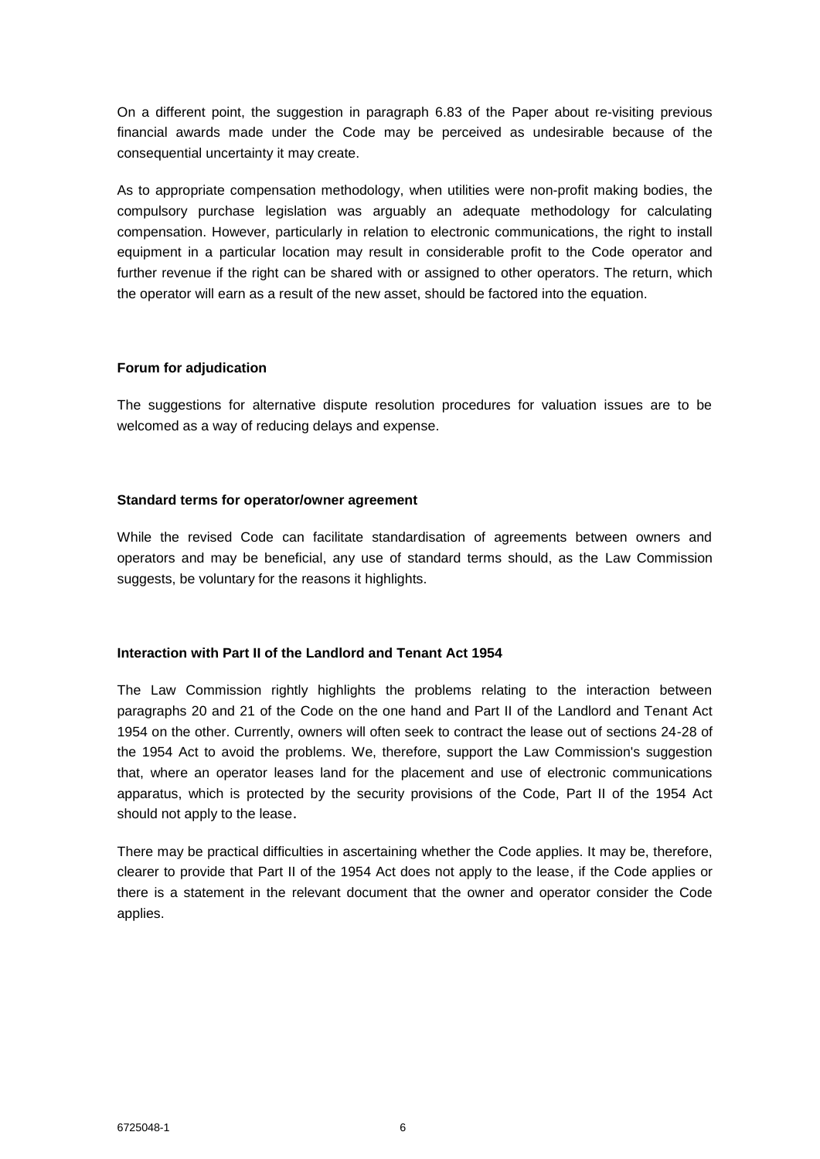On a different point, the suggestion in paragraph 6.83 of the Paper about re-visiting previous financial awards made under the Code may be perceived as undesirable because of the consequential uncertainty it may create.

As to appropriate compensation methodology, when utilities were non-profit making bodies, the compulsory purchase legislation was arguably an adequate methodology for calculating compensation. However, particularly in relation to electronic communications, the right to install equipment in a particular location may result in considerable profit to the Code operator and further revenue if the right can be shared with or assigned to other operators. The return, which the operator will earn as a result of the new asset, should be factored into the equation.

#### **Forum for adjudication**

The suggestions for alternative dispute resolution procedures for valuation issues are to be welcomed as a way of reducing delays and expense.

#### **Standard terms for operator/owner agreement**

While the revised Code can facilitate standardisation of agreements between owners and operators and may be beneficial, any use of standard terms should, as the Law Commission suggests, be voluntary for the reasons it highlights.

# **Interaction with Part II of the Landlord and Tenant Act 1954**

The Law Commission rightly highlights the problems relating to the interaction between paragraphs 20 and 21 of the Code on the one hand and Part II of the Landlord and Tenant Act 1954 on the other. Currently, owners will often seek to contract the lease out of sections 24-28 of the 1954 Act to avoid the problems. We, therefore, support the Law Commission's suggestion that, where an operator leases land for the placement and use of electronic communications apparatus, which is protected by the security provisions of the Code, Part II of the 1954 Act should not apply to the lease.

There may be practical difficulties in ascertaining whether the Code applies. It may be, therefore, clearer to provide that Part II of the 1954 Act does not apply to the lease, if the Code applies or there is a statement in the relevant document that the owner and operator consider the Code applies.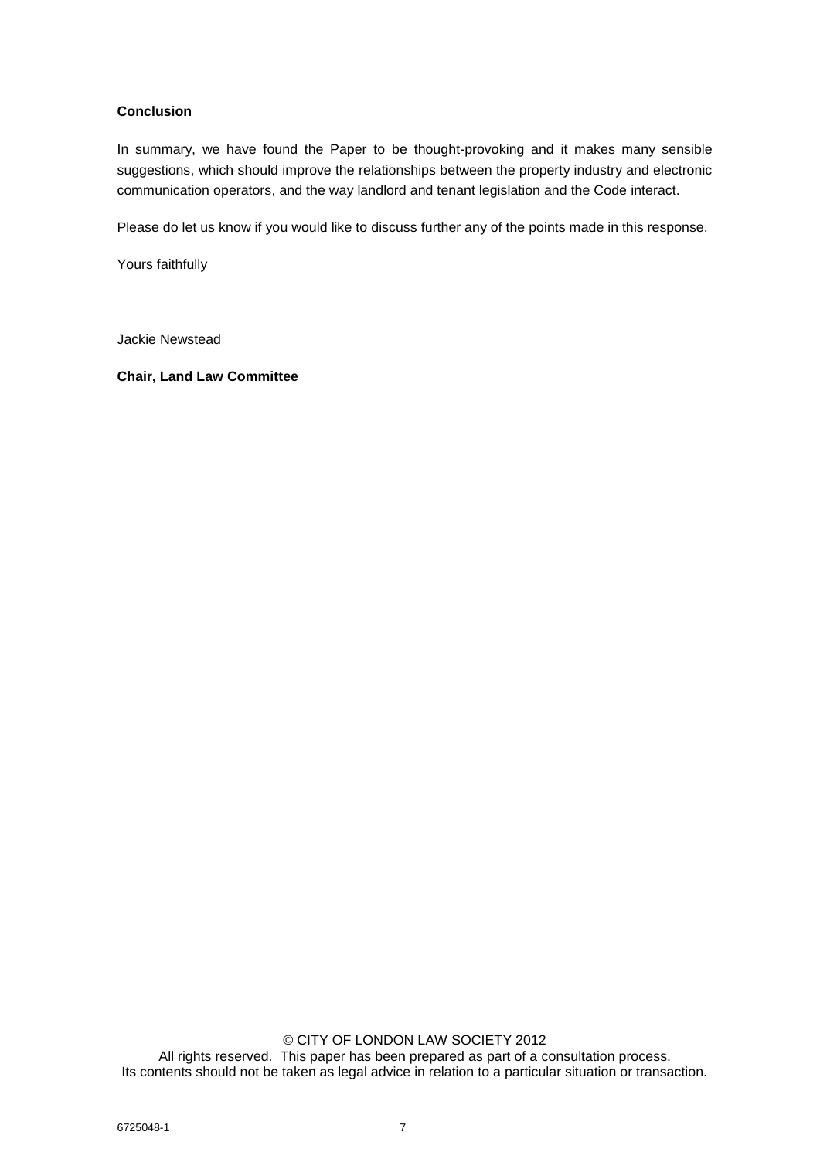# **Conclusion**

In summary, we have found the Paper to be thought-provoking and it makes many sensible suggestions, which should improve the relationships between the property industry and electronic communication operators, and the way landlord and tenant legislation and the Code interact.

Please do let us know if you would like to discuss further any of the points made in this response.

Yours faithfully

Jackie Newstead

**Chair, Land Law Committee**